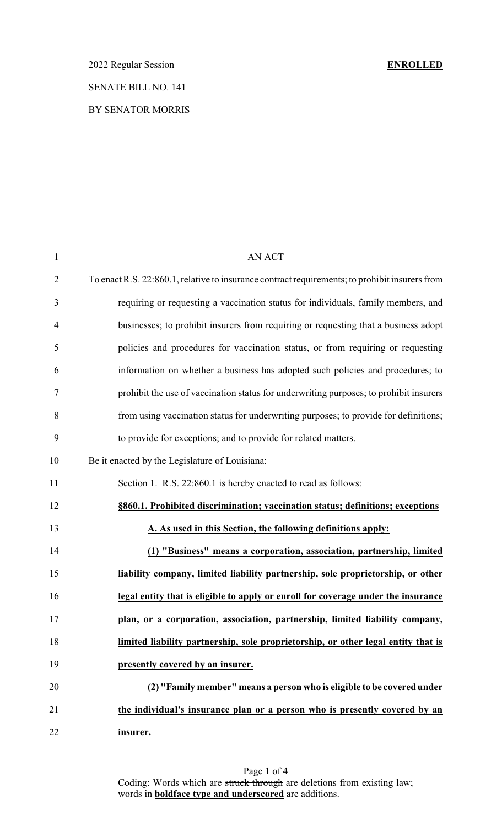# 2022 Regular Session **ENROLLED**

## SENATE BILL NO. 141

## BY SENATOR MORRIS

| $\mathbf{1}$   | <b>AN ACT</b>                                                                                  |
|----------------|------------------------------------------------------------------------------------------------|
| $\overline{2}$ | To enact R.S. 22:860.1, relative to insurance contract requirements; to prohibit insurers from |
| 3              | requiring or requesting a vaccination status for individuals, family members, and              |
| $\overline{4}$ | businesses; to prohibit insurers from requiring or requesting that a business adopt            |
| 5              | policies and procedures for vaccination status, or from requiring or requesting                |
| 6              | information on whether a business has adopted such policies and procedures; to                 |
| 7              | prohibit the use of vaccination status for underwriting purposes; to prohibit insurers         |
| 8              | from using vaccination status for underwriting purposes; to provide for definitions;           |
| 9              | to provide for exceptions; and to provide for related matters.                                 |
| 10             | Be it enacted by the Legislature of Louisiana:                                                 |
| 11             | Section 1. R.S. 22:860.1 is hereby enacted to read as follows:                                 |
| 12             | §860.1. Prohibited discrimination; vaccination status; definitions; exceptions                 |
| 13             | A. As used in this Section, the following definitions apply:                                   |
| 14             | (1) "Business" means a corporation, association, partnership, limited                          |
| 15             | liability company, limited liability partnership, sole proprietorship, or other                |
| 16             | legal entity that is eligible to apply or enroll for coverage under the insurance              |
| 17             | plan, or a corporation, association, partnership, limited liability company,                   |
| 18             | limited liability partnership, sole proprietorship, or other legal entity that is              |
| 19             | presently covered by an insurer.                                                               |
| 20             | (2) "Family member" means a person who is eligible to be covered under                         |
| 21             | the individual's insurance plan or a person who is presently covered by an                     |
| 22             | insurer.                                                                                       |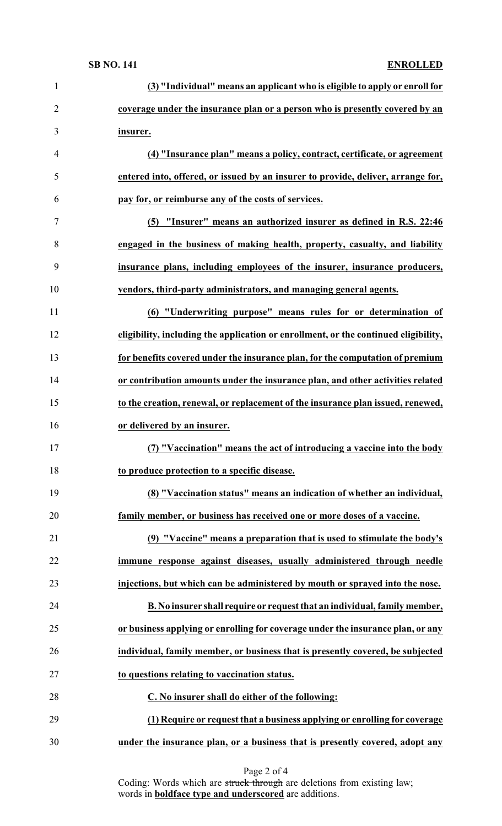### **SB NO. 141 ENROLLED**

| coverage under the insurance plan or a person who is presently covered by an<br>$\overline{2}$<br>3<br>insurer.<br>(4) "Insurance plan" means a policy, contract, certificate, or agreement<br>$\overline{4}$<br>entered into, offered, or issued by an insurer to provide, deliver, arrange for,<br>5<br>pay for, or reimburse any of the costs of services.<br>6<br>(5) "Insurer" means an authorized insurer as defined in R.S. 22:46<br>7<br>8<br>engaged in the business of making health, property, casualty, and liability<br>9<br>insurance plans, including employees of the insurer, insurance producers,<br>10<br>vendors, third-party administrators, and managing general agents.<br>(6) "Underwriting purpose" means rules for or determination of<br>11<br>12<br>eligibility, including the application or enrollment, or the continued eligibility,<br>13<br>for benefits covered under the insurance plan, for the computation of premium<br>or contribution amounts under the insurance plan, and other activities related<br>14<br>15<br>to the creation, renewal, or replacement of the insurance plan issued, renewed,<br>16<br>or delivered by an insurer.<br>17<br>(7) "Vaccination" means the act of introducing a vaccine into the body<br>18<br>to produce protection to a specific disease.<br>19<br>(8) "Vaccination status" means an indication of whether an individual,<br>20<br>family member, or business has received one or more doses of a vaccine.<br>21<br>(9) "Vaccine" means a preparation that is used to stimulate the body's<br>22<br>immune response against diseases, usually administered through needle<br>23<br>injections, but which can be administered by mouth or sprayed into the nose.<br>24<br>B. No insurer shall require or request that an individual, family member,<br>25<br>or business applying or enrolling for coverage under the insurance plan, or any<br>26<br>individual, family member, or business that is presently covered, be subjected<br>27<br>to questions relating to vaccination status.<br>28<br>C. No insurer shall do either of the following: | (3) "Individual" means an applicant who is eligible to apply or enroll for |
|---------------------------------------------------------------------------------------------------------------------------------------------------------------------------------------------------------------------------------------------------------------------------------------------------------------------------------------------------------------------------------------------------------------------------------------------------------------------------------------------------------------------------------------------------------------------------------------------------------------------------------------------------------------------------------------------------------------------------------------------------------------------------------------------------------------------------------------------------------------------------------------------------------------------------------------------------------------------------------------------------------------------------------------------------------------------------------------------------------------------------------------------------------------------------------------------------------------------------------------------------------------------------------------------------------------------------------------------------------------------------------------------------------------------------------------------------------------------------------------------------------------------------------------------------------------------------------------------------------------------------------------------------------------------------------------------------------------------------------------------------------------------------------------------------------------------------------------------------------------------------------------------------------------------------------------------------------------------------------------------------------------------------------------------------------------------------------------------------------------------------------|----------------------------------------------------------------------------|
|                                                                                                                                                                                                                                                                                                                                                                                                                                                                                                                                                                                                                                                                                                                                                                                                                                                                                                                                                                                                                                                                                                                                                                                                                                                                                                                                                                                                                                                                                                                                                                                                                                                                                                                                                                                                                                                                                                                                                                                                                                                                                                                                 |                                                                            |
|                                                                                                                                                                                                                                                                                                                                                                                                                                                                                                                                                                                                                                                                                                                                                                                                                                                                                                                                                                                                                                                                                                                                                                                                                                                                                                                                                                                                                                                                                                                                                                                                                                                                                                                                                                                                                                                                                                                                                                                                                                                                                                                                 |                                                                            |
|                                                                                                                                                                                                                                                                                                                                                                                                                                                                                                                                                                                                                                                                                                                                                                                                                                                                                                                                                                                                                                                                                                                                                                                                                                                                                                                                                                                                                                                                                                                                                                                                                                                                                                                                                                                                                                                                                                                                                                                                                                                                                                                                 |                                                                            |
|                                                                                                                                                                                                                                                                                                                                                                                                                                                                                                                                                                                                                                                                                                                                                                                                                                                                                                                                                                                                                                                                                                                                                                                                                                                                                                                                                                                                                                                                                                                                                                                                                                                                                                                                                                                                                                                                                                                                                                                                                                                                                                                                 |                                                                            |
|                                                                                                                                                                                                                                                                                                                                                                                                                                                                                                                                                                                                                                                                                                                                                                                                                                                                                                                                                                                                                                                                                                                                                                                                                                                                                                                                                                                                                                                                                                                                                                                                                                                                                                                                                                                                                                                                                                                                                                                                                                                                                                                                 |                                                                            |
|                                                                                                                                                                                                                                                                                                                                                                                                                                                                                                                                                                                                                                                                                                                                                                                                                                                                                                                                                                                                                                                                                                                                                                                                                                                                                                                                                                                                                                                                                                                                                                                                                                                                                                                                                                                                                                                                                                                                                                                                                                                                                                                                 |                                                                            |
|                                                                                                                                                                                                                                                                                                                                                                                                                                                                                                                                                                                                                                                                                                                                                                                                                                                                                                                                                                                                                                                                                                                                                                                                                                                                                                                                                                                                                                                                                                                                                                                                                                                                                                                                                                                                                                                                                                                                                                                                                                                                                                                                 |                                                                            |
|                                                                                                                                                                                                                                                                                                                                                                                                                                                                                                                                                                                                                                                                                                                                                                                                                                                                                                                                                                                                                                                                                                                                                                                                                                                                                                                                                                                                                                                                                                                                                                                                                                                                                                                                                                                                                                                                                                                                                                                                                                                                                                                                 |                                                                            |
|                                                                                                                                                                                                                                                                                                                                                                                                                                                                                                                                                                                                                                                                                                                                                                                                                                                                                                                                                                                                                                                                                                                                                                                                                                                                                                                                                                                                                                                                                                                                                                                                                                                                                                                                                                                                                                                                                                                                                                                                                                                                                                                                 |                                                                            |
|                                                                                                                                                                                                                                                                                                                                                                                                                                                                                                                                                                                                                                                                                                                                                                                                                                                                                                                                                                                                                                                                                                                                                                                                                                                                                                                                                                                                                                                                                                                                                                                                                                                                                                                                                                                                                                                                                                                                                                                                                                                                                                                                 |                                                                            |
|                                                                                                                                                                                                                                                                                                                                                                                                                                                                                                                                                                                                                                                                                                                                                                                                                                                                                                                                                                                                                                                                                                                                                                                                                                                                                                                                                                                                                                                                                                                                                                                                                                                                                                                                                                                                                                                                                                                                                                                                                                                                                                                                 |                                                                            |
|                                                                                                                                                                                                                                                                                                                                                                                                                                                                                                                                                                                                                                                                                                                                                                                                                                                                                                                                                                                                                                                                                                                                                                                                                                                                                                                                                                                                                                                                                                                                                                                                                                                                                                                                                                                                                                                                                                                                                                                                                                                                                                                                 |                                                                            |
|                                                                                                                                                                                                                                                                                                                                                                                                                                                                                                                                                                                                                                                                                                                                                                                                                                                                                                                                                                                                                                                                                                                                                                                                                                                                                                                                                                                                                                                                                                                                                                                                                                                                                                                                                                                                                                                                                                                                                                                                                                                                                                                                 |                                                                            |
|                                                                                                                                                                                                                                                                                                                                                                                                                                                                                                                                                                                                                                                                                                                                                                                                                                                                                                                                                                                                                                                                                                                                                                                                                                                                                                                                                                                                                                                                                                                                                                                                                                                                                                                                                                                                                                                                                                                                                                                                                                                                                                                                 |                                                                            |
|                                                                                                                                                                                                                                                                                                                                                                                                                                                                                                                                                                                                                                                                                                                                                                                                                                                                                                                                                                                                                                                                                                                                                                                                                                                                                                                                                                                                                                                                                                                                                                                                                                                                                                                                                                                                                                                                                                                                                                                                                                                                                                                                 |                                                                            |
|                                                                                                                                                                                                                                                                                                                                                                                                                                                                                                                                                                                                                                                                                                                                                                                                                                                                                                                                                                                                                                                                                                                                                                                                                                                                                                                                                                                                                                                                                                                                                                                                                                                                                                                                                                                                                                                                                                                                                                                                                                                                                                                                 |                                                                            |
|                                                                                                                                                                                                                                                                                                                                                                                                                                                                                                                                                                                                                                                                                                                                                                                                                                                                                                                                                                                                                                                                                                                                                                                                                                                                                                                                                                                                                                                                                                                                                                                                                                                                                                                                                                                                                                                                                                                                                                                                                                                                                                                                 |                                                                            |
|                                                                                                                                                                                                                                                                                                                                                                                                                                                                                                                                                                                                                                                                                                                                                                                                                                                                                                                                                                                                                                                                                                                                                                                                                                                                                                                                                                                                                                                                                                                                                                                                                                                                                                                                                                                                                                                                                                                                                                                                                                                                                                                                 |                                                                            |
|                                                                                                                                                                                                                                                                                                                                                                                                                                                                                                                                                                                                                                                                                                                                                                                                                                                                                                                                                                                                                                                                                                                                                                                                                                                                                                                                                                                                                                                                                                                                                                                                                                                                                                                                                                                                                                                                                                                                                                                                                                                                                                                                 |                                                                            |
|                                                                                                                                                                                                                                                                                                                                                                                                                                                                                                                                                                                                                                                                                                                                                                                                                                                                                                                                                                                                                                                                                                                                                                                                                                                                                                                                                                                                                                                                                                                                                                                                                                                                                                                                                                                                                                                                                                                                                                                                                                                                                                                                 |                                                                            |
|                                                                                                                                                                                                                                                                                                                                                                                                                                                                                                                                                                                                                                                                                                                                                                                                                                                                                                                                                                                                                                                                                                                                                                                                                                                                                                                                                                                                                                                                                                                                                                                                                                                                                                                                                                                                                                                                                                                                                                                                                                                                                                                                 |                                                                            |
|                                                                                                                                                                                                                                                                                                                                                                                                                                                                                                                                                                                                                                                                                                                                                                                                                                                                                                                                                                                                                                                                                                                                                                                                                                                                                                                                                                                                                                                                                                                                                                                                                                                                                                                                                                                                                                                                                                                                                                                                                                                                                                                                 |                                                                            |
|                                                                                                                                                                                                                                                                                                                                                                                                                                                                                                                                                                                                                                                                                                                                                                                                                                                                                                                                                                                                                                                                                                                                                                                                                                                                                                                                                                                                                                                                                                                                                                                                                                                                                                                                                                                                                                                                                                                                                                                                                                                                                                                                 |                                                                            |
|                                                                                                                                                                                                                                                                                                                                                                                                                                                                                                                                                                                                                                                                                                                                                                                                                                                                                                                                                                                                                                                                                                                                                                                                                                                                                                                                                                                                                                                                                                                                                                                                                                                                                                                                                                                                                                                                                                                                                                                                                                                                                                                                 |                                                                            |
|                                                                                                                                                                                                                                                                                                                                                                                                                                                                                                                                                                                                                                                                                                                                                                                                                                                                                                                                                                                                                                                                                                                                                                                                                                                                                                                                                                                                                                                                                                                                                                                                                                                                                                                                                                                                                                                                                                                                                                                                                                                                                                                                 |                                                                            |
|                                                                                                                                                                                                                                                                                                                                                                                                                                                                                                                                                                                                                                                                                                                                                                                                                                                                                                                                                                                                                                                                                                                                                                                                                                                                                                                                                                                                                                                                                                                                                                                                                                                                                                                                                                                                                                                                                                                                                                                                                                                                                                                                 |                                                                            |
|                                                                                                                                                                                                                                                                                                                                                                                                                                                                                                                                                                                                                                                                                                                                                                                                                                                                                                                                                                                                                                                                                                                                                                                                                                                                                                                                                                                                                                                                                                                                                                                                                                                                                                                                                                                                                                                                                                                                                                                                                                                                                                                                 |                                                                            |
| 29<br>(1) Require or request that a business applying or enrolling for coverage                                                                                                                                                                                                                                                                                                                                                                                                                                                                                                                                                                                                                                                                                                                                                                                                                                                                                                                                                                                                                                                                                                                                                                                                                                                                                                                                                                                                                                                                                                                                                                                                                                                                                                                                                                                                                                                                                                                                                                                                                                                 |                                                                            |
| 30<br>under the insurance plan, or a business that is presently covered, adopt any                                                                                                                                                                                                                                                                                                                                                                                                                                                                                                                                                                                                                                                                                                                                                                                                                                                                                                                                                                                                                                                                                                                                                                                                                                                                                                                                                                                                                                                                                                                                                                                                                                                                                                                                                                                                                                                                                                                                                                                                                                              |                                                                            |

Coding: Words which are struck through are deletions from existing law; words in **boldface type and underscored** are additions.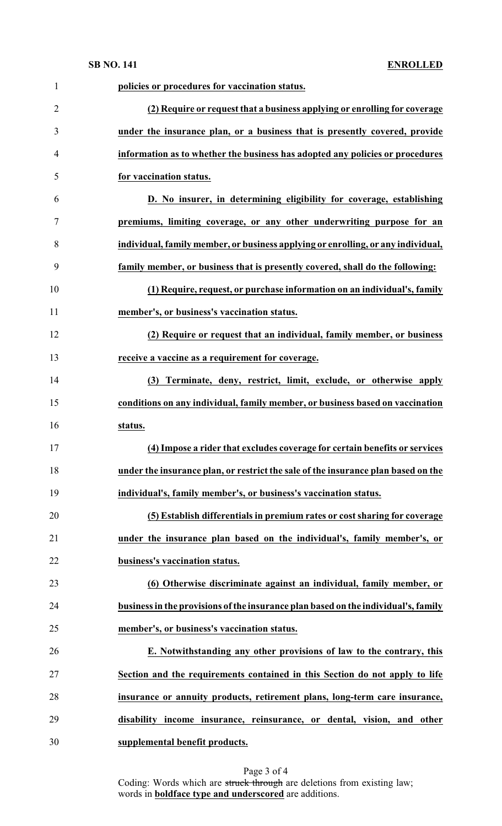**SB NO. 141 ENROLLED**

| $\mathbf{1}$   | policies or procedures for vaccination status.                                     |
|----------------|------------------------------------------------------------------------------------|
| $\overline{2}$ | (2) Require or request that a business applying or enrolling for coverage          |
| 3              | under the insurance plan, or a business that is presently covered, provide         |
| 4              | information as to whether the business has adopted any policies or procedures      |
| 5              | for vaccination status.                                                            |
| 6              | D. No insurer, in determining eligibility for coverage, establishing               |
| 7              | premiums, limiting coverage, or any other underwriting purpose for an              |
| 8              | individual, family member, or business applying or enrolling, or any individual,   |
| 9              | family member, or business that is presently covered, shall do the following:      |
| 10             | (1) Require, request, or purchase information on an individual's, family           |
| 11             | member's, or business's vaccination status.                                        |
| 12             | (2) Require or request that an individual, family member, or business              |
| 13             | receive a vaccine as a requirement for coverage.                                   |
| 14             | (3) Terminate, deny, restrict, limit, exclude, or otherwise apply                  |
| 15             | conditions on any individual, family member, or business based on vaccination      |
| 16             | status.                                                                            |
| 17             | (4) Impose a rider that excludes coverage for certain benefits or services         |
| 18             | under the insurance plan, or restrict the sale of the insurance plan based on the  |
| 19             | individual's, family member's, or business's vaccination status.                   |
| 20             | (5) Establish differentials in premium rates or cost sharing for coverage          |
| 21             | under the insurance plan based on the individual's, family member's, or            |
| 22             | business's vaccination status.                                                     |
| 23             | (6) Otherwise discriminate against an individual, family member, or                |
| 24             | business in the provisions of the insurance plan based on the individual's, family |
| 25             | member's, or business's vaccination status.                                        |
| 26             | E. Notwithstanding any other provisions of law to the contrary, this               |
| 27             | Section and the requirements contained in this Section do not apply to life        |
| 28             | insurance or annuity products, retirement plans, long-term care insurance,         |
| 29             | disability income insurance, reinsurance, or dental, vision, and other             |
| 30             | supplemental benefit products.                                                     |

Page 3 of 4 Coding: Words which are struck through are deletions from existing law; words in **boldface type and underscored** are additions.